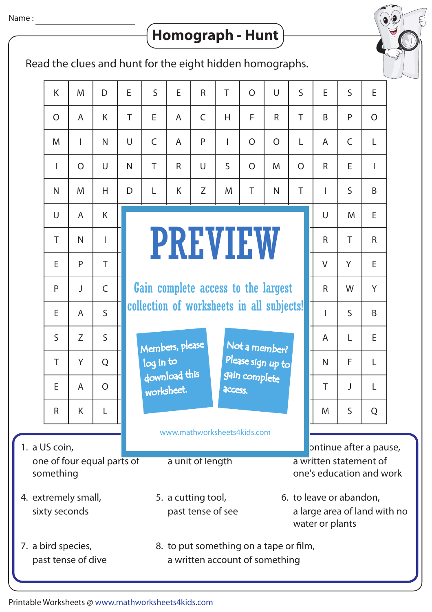## $\big\{$  Homograph - Hunt  $\big)$

Read the clues and hunt for the eight hidden homographs.

|                                                                              | K              | M              | D              | E      | $\mathsf{S}$                                                                                                          | E | $\mathsf{R}$                              | T            | $\overline{O}$                                                               | $\cup$         | $\mathsf{S}$   | E            | $\mathsf{S}$ | E              |  |
|------------------------------------------------------------------------------|----------------|----------------|----------------|--------|-----------------------------------------------------------------------------------------------------------------------|---|-------------------------------------------|--------------|------------------------------------------------------------------------------|----------------|----------------|--------------|--------------|----------------|--|
|                                                                              | $\overline{O}$ | A              | K              | T      | E                                                                                                                     | A | $\mathsf{C}$                              | H            | F                                                                            | $\mathsf{R}$   | T              | B            | P            | $\overline{O}$ |  |
|                                                                              | M              | T              | N              | $\cup$ | $\mathsf{C}$                                                                                                          | A | P                                         | T            | $\overline{O}$                                                               | $\overline{O}$ | L              | A            | $\mathsf{C}$ | L              |  |
|                                                                              | $\overline{1}$ | $\overline{O}$ | $\cup$         | N      | T.                                                                                                                    | R | $\cup$                                    | $\mathsf{S}$ | $\overline{O}$                                                               | M              | $\overline{O}$ | $\mathsf{R}$ | E            | T              |  |
|                                                                              | $\mathsf{N}$   | M              | H              | D      | L                                                                                                                     | K | Z                                         | M            | T                                                                            | $\mathsf{N}$   | $\top$         | T            | $\mathsf{S}$ | B              |  |
|                                                                              | U              | A              | K              |        |                                                                                                                       |   |                                           |              |                                                                              |                |                | $\cup$       | M            | E              |  |
|                                                                              | T              | $\mathsf{N}$   | T              |        |                                                                                                                       |   | <b>PREVIEW</b>                            |              | $\mathsf{R}$                                                                 | T              | $\mathsf{R}$   |              |              |                |  |
|                                                                              | E              | P              | T              |        |                                                                                                                       |   |                                           |              | $\vee$                                                                       | Y              | E              |              |              |                |  |
|                                                                              | P              | J              | $\mathsf C$    |        |                                                                                                                       |   | Gain complete access to the largest       | $\mathsf{R}$ | W                                                                            | Y              |                |              |              |                |  |
|                                                                              | E              | $\mathsf{A}$   | $\mathsf{S}$   |        |                                                                                                                       |   | collection of worksheets in all subjects! | T            | $\mathsf{S}$                                                                 | B              |                |              |              |                |  |
|                                                                              | $\mathsf{S}$   | Z              | $\mathsf{S}$   |        | Members, please                                                                                                       |   |                                           | A            | L                                                                            | E              |                |              |              |                |  |
|                                                                              | T              | Y              | Q              |        | Not a member?<br>Please sign up to<br>log in to<br>download this<br>gain complete<br>worksheet.<br>access.            |   |                                           |              |                                                                              |                |                |              | F            | L              |  |
|                                                                              | E              | A              | $\overline{O}$ |        |                                                                                                                       |   |                                           |              |                                                                              |                |                |              | J            | L              |  |
|                                                                              | R              | K              | L              |        |                                                                                                                       |   |                                           | M            | S                                                                            | Q              |                |              |              |                |  |
| www.mathworksheets4kids.com                                                  |                |                |                |        |                                                                                                                       |   |                                           |              |                                                                              |                |                |              |              |                |  |
| 1. a US coin,<br>one of four equal parts of<br>a unit of length<br>something |                |                |                |        |                                                                                                                       |   |                                           |              | ontinue after a pause,<br>a written statement of<br>one's education and work |                |                |              |              |                |  |
| 4. extremely small,<br>sixty seconds                                         |                |                |                |        | 6. to leave or abandon,<br>5. a cutting tool,<br>past tense of see<br>a large area of land with no<br>water or plants |   |                                           |              |                                                                              |                |                |              |              |                |  |
| 7. a bird species,<br>past tense of dive                                     |                |                |                |        | 8. to put something on a tape or film,<br>a written account of something                                              |   |                                           |              |                                                                              |                |                |              |              |                |  |

Printable Worksheets @ www.mathworksheets4kids.com

7.

1.